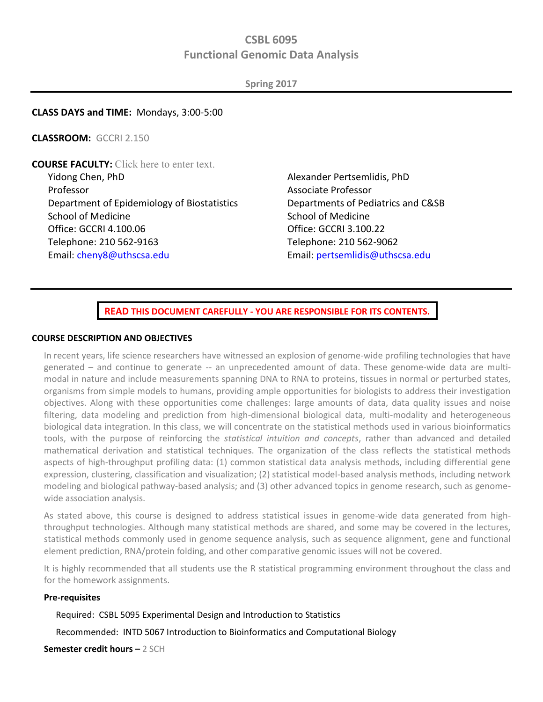## **CSBL 6095 Functional Genomic Data Analysis**

**Spring 2017** 

#### **CLASS DAYS and TIME:** Mondays, 3:00-5:00

**CLASSROOM:** GCCRI 2.150

**COURSE FACULTY:** Click here to enter text. Yidong Chen, PhD Professor Department of Epidemiology of Biostatistics School of Medicine Office: GCCRI 4.100.06 Telephone: 210 562-9163 Email: [cheny8@uthscsa.edu](mailto:cheny8@uthscsa.edu) 

Alexander Pertsemlidis, PhD Associate Professor Departments of Pediatrics and C&SB School of Medicine Office: GCCRI 3.100.22 Telephone: 210 562-9062 Email[: pertsemlidis@uthscsa.edu](mailto:pertsemlidis@uthscsa.edu)

**READ THIS DOCUMENT CAREFULLY - YOU ARE RESPONSIBLE FOR ITS CONTENTS.** 

#### **COURSE DESCRIPTION AND OBJECTIVES**

In recent years, life science researchers have witnessed an explosion of genome-wide profiling technologies that have generated – and continue to generate -- an unprecedented amount of data. These genome-wide data are multimodal in nature and include measurements spanning DNA to RNA to proteins, tissues in normal or perturbed states, organisms from simple models to humans, providing ample opportunities for biologists to address their investigation objectives. Along with these opportunities come challenges: large amounts of data, data quality issues and noise filtering, data modeling and prediction from high-dimensional biological data, multi-modality and heterogeneous biological data integration. In this class, we will concentrate on the statistical methods used in various bioinformatics tools, with the purpose of reinforcing the *statistical intuition and concepts*, rather than advanced and detailed mathematical derivation and statistical techniques. The organization of the class reflects the statistical methods aspects of high-throughput profiling data: (1) common statistical data analysis methods, including differential gene expression, clustering, classification and visualization; (2) statistical model-based analysis methods, including network modeling and biological pathway-based analysis; and (3) other advanced topics in genome research, such as genomewide association analysis.

As stated above, this course is designed to address statistical issues in genome-wide data generated from highthroughput technologies. Although many statistical methods are shared, and some may be covered in the lectures, statistical methods commonly used in genome sequence analysis, such as sequence alignment, gene and functional element prediction, RNA/protein folding, and other comparative genomic issues will not be covered.

It is highly recommended that all students use the R statistical programming environment throughout the class and for the homework assignments.

#### **Pre-requisites**

Required: CSBL 5095 Experimental Design and Introduction to Statistics

Recommended: INTD 5067 Introduction to Bioinformatics and Computational Biology

**Semester credit hours –** 2 SCH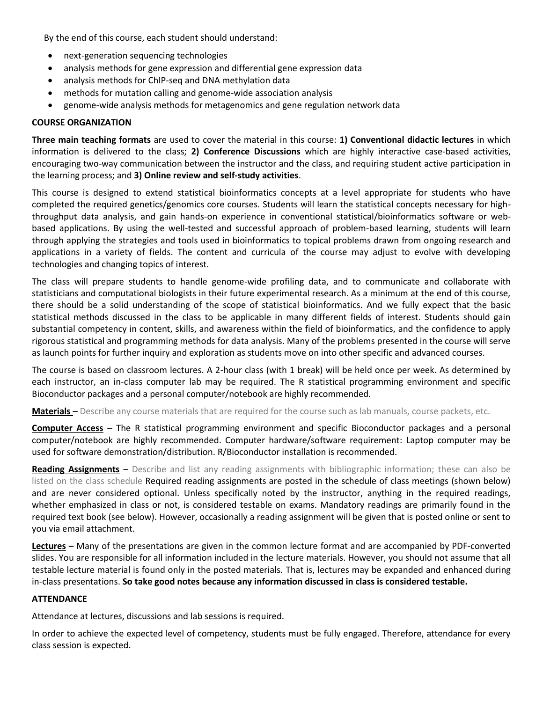By the end of this course, each student should understand:

- next-generation sequencing technologies
- analysis methods for gene expression and differential gene expression data
- analysis methods for ChIP-seq and DNA methylation data
- methods for mutation calling and genome-wide association analysis
- genome-wide analysis methods for metagenomics and gene regulation network data

#### **COURSE ORGANIZATION**

**Three main teaching formats** are used to cover the material in this course: **1) Conventional didactic lectures** in which information is delivered to the class; **2) Conference Discussions** which are highly interactive case‐based activities, encouraging two‐way communication between the instructor and the class, and requiring student active participation in the learning process; and **3) Online review and self‐study activities**.

This course is designed to extend statistical bioinformatics concepts at a level appropriate for students who have completed the required genetics/genomics core courses. Students will learn the statistical concepts necessary for highthroughput data analysis, and gain hands-on experience in conventional statistical/bioinformatics software or webbased applications. By using the well-tested and successful approach of problem-based learning, students will learn through applying the strategies and tools used in bioinformatics to topical problems drawn from ongoing research and applications in a variety of fields. The content and curricula of the course may adjust to evolve with developing technologies and changing topics of interest.

The class will prepare students to handle genome-wide profiling data, and to communicate and collaborate with statisticians and computational biologists in their future experimental research. As a minimum at the end of this course, there should be a solid understanding of the scope of statistical bioinformatics. And we fully expect that the basic statistical methods discussed in the class to be applicable in many different fields of interest. Students should gain substantial competency in content, skills, and awareness within the field of bioinformatics, and the confidence to apply rigorous statistical and programming methods for data analysis. Many of the problems presented in the course will serve as launch points for further inquiry and exploration as students move on into other specific and advanced courses.

The course is based on classroom lectures. A 2-hour class (with 1 break) will be held once per week. As determined by each instructor, an in-class computer lab may be required. The R statistical programming environment and specific Bioconductor packages and a personal computer/notebook are highly recommended.

**Materials** – Describe any course materials that are required for the course such as lab manuals, course packets, etc.

**Computer Access** – The R statistical programming environment and specific Bioconductor packages and a personal computer/notebook are highly recommended. Computer hardware/software requirement: Laptop computer may be used for software demonstration/distribution. R/Bioconductor installation is recommended.

**Reading Assignments** – Describe and list any reading assignments with bibliographic information; these can also be listed on the class schedule Required reading assignments are posted in the schedule of class meetings (shown below) and are never considered optional. Unless specifically noted by the instructor, anything in the required readings, whether emphasized in class or not, is considered testable on exams. Mandatory readings are primarily found in the required text book (see below). However, occasionally a reading assignment will be given that is posted online or sent to you via email attachment.

**Lectures –** Many of the presentations are given in the common lecture format and are accompanied by PDF‐converted slides. You are responsible for all information included in the lecture materials. However, you should not assume that all testable lecture material is found only in the posted materials. That is, lectures may be expanded and enhanced during in‐class presentations. **So take good notes because any information discussed in class is considered testable.** 

#### **ATTENDANCE**

Attendance at lectures, discussions and lab sessions is required.

In order to achieve the expected level of competency, students must be fully engaged. Therefore, attendance for every class session is expected.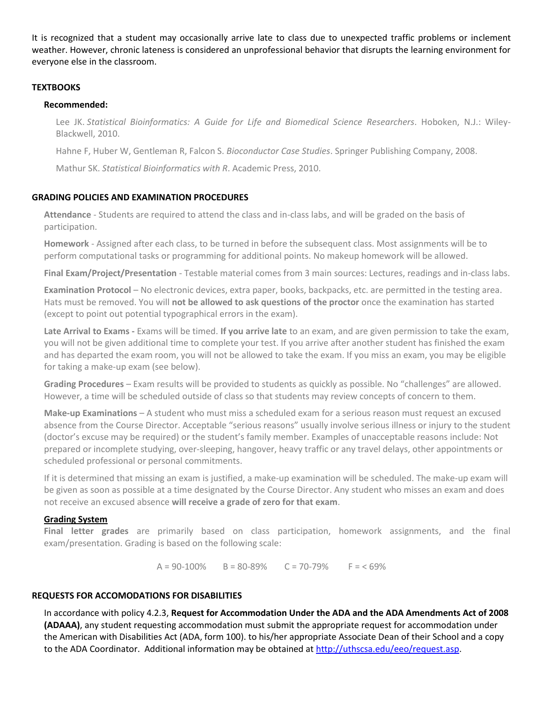It is recognized that a student may occasionally arrive late to class due to unexpected traffic problems or inclement weather. However, chronic lateness is considered an unprofessional behavior that disrupts the learning environment for everyone else in the classroom.

#### **TEXTBOOKS**

#### **Recommended:**

Lee JK. *Statistical Bioinformatics: A Guide for Life and Biomedical Science Researchers*. Hoboken, N.J.: Wiley-Blackwell, 2010.

Hahne F, Huber W, Gentleman R, Falcon S. *Bioconductor Case Studies*. Springer Publishing Company, 2008.

Mathur SK. *Statistical Bioinformatics with R*. Academic Press, 2010.

## **GRADING POLICIES AND EXAMINATION PROCEDURES**

**Attendance** - Students are required to attend the class and in-class labs, and will be graded on the basis of participation.

**Homework** - Assigned after each class, to be turned in before the subsequent class. Most assignments will be to perform computational tasks or programming for additional points. No makeup homework will be allowed.

**Final Exam/Project/Presentation** - Testable material comes from 3 main sources: Lectures, readings and in-class labs.

**Examination Protocol –** No electronic devices, extra paper, books, backpacks, etc. are permitted in the testing area. Hats must be removed. You will **not be allowed to ask questions of the proctor** once the examination has started (except to point out potential typographical errors in the exam).

Late Arrival to Exams - Exams will be timed. If you arrive late to an exam, and are given permission to take the exam, you will not be given additional time to complete your test. If you arrive after another student has finished the exam and has departed the exam room, you will not be allowed to take the exam. If you miss an exam, you may be eligible for taking a make‐up exam (see below).

**Grading Procedures** – Exam results will be provided to students as quickly as possible. No "challenges" are allowed. However, a time will be scheduled outside of class so that students may review concepts of concern to them.

**Make‐up Examinations** – A student who must miss a scheduled exam for a serious reason must request an excused absence from the Course Director. Acceptable "serious reasons" usually involve serious illness or injury to the student (doctor's excuse may be required) or the student's family member. Examples of unacceptable reasons include: Not prepared or incomplete studying, over‐sleeping, hangover, heavy traffic or any travel delays, other appointments or scheduled professional or personal commitments.

If it is determined that missing an exam is justified, a make‐up examination will be scheduled. The make‐up exam will be given as soon as possible at a time designated by the Course Director. Any student who misses an exam and does not receive an excused absence **will receive a grade of zero for that exam**.

## **Grading System**

**Final letter grades** are primarily based on class participation, homework assignments, and the final exam/presentation. Grading is based on the following scale:

 $A = 90-100\%$  B = 80-89% C = 70-79% F = < 69%

#### **REQUESTS FOR ACCOMODATIONS FOR DISABILITIES**

In accordance with policy 4.2.3, **Request for Accommodation Under the ADA and the ADA Amendments Act of 2008 (ADAAA)**, any student requesting accommodation must submit the appropriate request for accommodation under the American with Disabilities Act (ADA, form 100). to his/her appropriate Associate Dean of their School and a copy to the ADA Coordinator. Additional information may be obtained at [http://uthscsa.edu/eeo/request.asp.](http://uthscsa.edu/eeo/request.asp)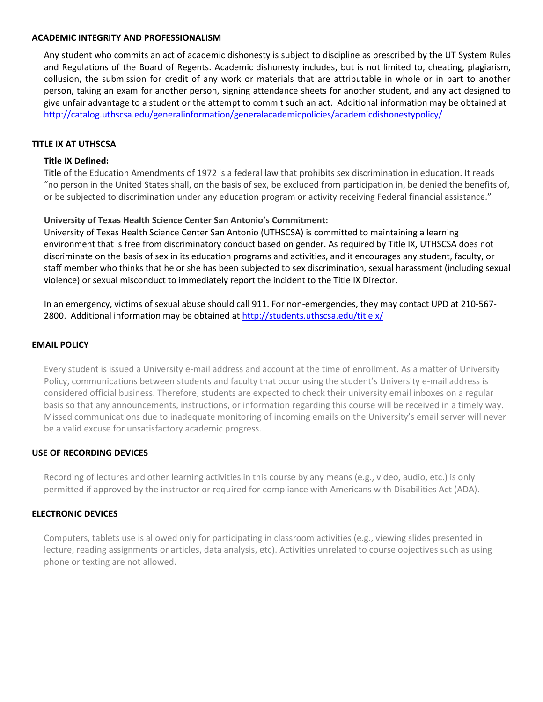#### **ACADEMIC INTEGRITY AND PROFESSIONALISM**

Any student who commits an act of academic dishonesty is subject to discipline as prescribed by the UT System Rules and Regulations of the Board of Regents. Academic dishonesty includes, but is not limited to, cheating, plagiarism, collusion, the submission for credit of any work or materials that are attributable in whole or in part to another person, taking an exam for another person, signing attendance sheets for another student, and any act designed to give unfair advantage to a student or the attempt to commit such an act. Additional information may be obtained at <http://catalog.uthscsa.edu/generalinformation/generalacademicpolicies/academicdishonestypolicy/>

#### **TITLE IX AT UTHSCSA**

### **Title IX Defined:**

Title of the Education Amendments of 1972 is a federal law that prohibits sex discrimination in education. It reads "no person in the United States shall, on the basis of sex, be excluded from participation in, be denied the benefits of, or be subjected to discrimination under any education program or activity receiving Federal financial assistance."

## **University of Texas Health Science Center San Antonio's Commitment:**

University of Texas Health Science Center San Antonio (UTHSCSA) is committed to maintaining a learning environment that is free from discriminatory conduct based on gender. As required by Title IX, UTHSCSA does not discriminate on the basis of sex in its education programs and activities, and it encourages any student, faculty, or staff member who thinks that he or she has been subjected to sex discrimination, sexual harassment (including sexual violence) or sexual misconduct to immediately report the incident to the Title IX Director.

In an emergency, victims of sexual abuse should call 911. For non-emergencies, they may contact UPD at 210-567 2800. Additional information may be obtained at<http://students.uthscsa.edu/titleix/>

#### **EMAIL POLICY**

Every student is issued a University e-mail address and account at the time of enrollment. As a matter of University Policy, communications between students and faculty that occur using the student's University e-mail address is considered official business. Therefore, students are expected to check their university email inboxes on a regular basis so that any announcements, instructions, or information regarding this course will be received in a timely way. Missed communications due to inadequate monitoring of incoming emails on the University's email server will never be a valid excuse for unsatisfactory academic progress.

#### **USE OF RECORDING DEVICES**

Recording of lectures and other learning activities in this course by any means (e.g., video, audio, etc.) is only permitted if approved by the instructor or required for compliance with Americans with Disabilities Act (ADA).

#### **ELECTRONIC DEVICES**

Computers, tablets use is allowed only for participating in classroom activities (e.g., viewing slides presented in lecture, reading assignments or articles, data analysis, etc). Activities unrelated to course objectives such as using phone or texting are not allowed.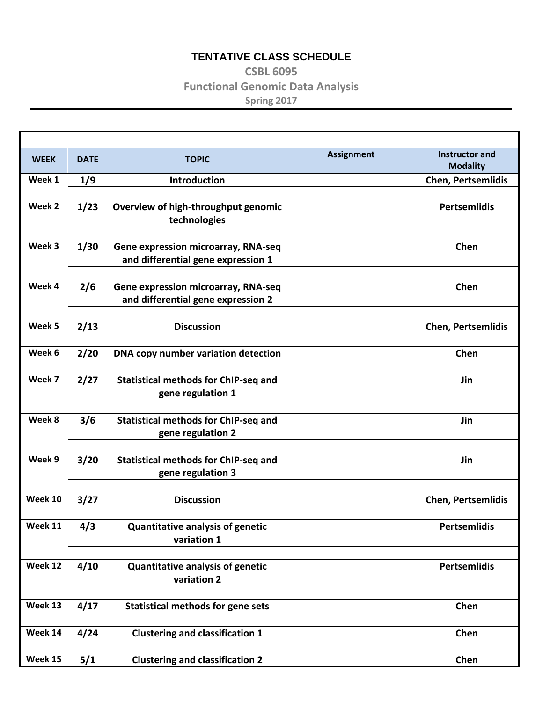## **TENTATIVE CLASS SCHEDULE**

# **CSBL 6095 Functional Genomic Data Analysis Spring 2017**

| <b>WEEK</b> | <b>DATE</b> | <b>TOPIC</b>                                                              | <b>Assignment</b> | <b>Instructor and</b><br><b>Modality</b> |
|-------------|-------------|---------------------------------------------------------------------------|-------------------|------------------------------------------|
| Week 1      | 1/9         | Introduction                                                              |                   | <b>Chen, Pertsemlidis</b>                |
|             |             |                                                                           |                   |                                          |
| Week 2      | 1/23        | Overview of high-throughput genomic<br>technologies                       |                   | <b>Pertsemlidis</b>                      |
|             |             |                                                                           |                   |                                          |
| Week 3      | 1/30        | Gene expression microarray, RNA-seq<br>and differential gene expression 1 |                   | Chen                                     |
|             |             |                                                                           |                   |                                          |
| Week 4      | 2/6         | Gene expression microarray, RNA-seq<br>and differential gene expression 2 |                   | Chen                                     |
|             |             |                                                                           |                   |                                          |
| Week 5      | 2/13        | <b>Discussion</b>                                                         |                   | <b>Chen, Pertsemlidis</b>                |
|             |             |                                                                           |                   |                                          |
| Week 6      | 2/20        | DNA copy number variation detection                                       |                   | Chen                                     |
| Week 7      | 2/27        | <b>Statistical methods for ChIP-seq and</b>                               |                   | Jin                                      |
|             |             | gene regulation 1                                                         |                   |                                          |
|             |             |                                                                           |                   |                                          |
| Week 8      | 3/6         | <b>Statistical methods for ChIP-seq and</b>                               |                   | Jin                                      |
|             |             | gene regulation 2                                                         |                   |                                          |
| Week 9      | 3/20        | <b>Statistical methods for ChIP-seq and</b>                               |                   | Jin                                      |
|             |             | gene regulation 3                                                         |                   |                                          |
|             |             |                                                                           |                   |                                          |
| Week 10     | 3/27        | <b>Discussion</b>                                                         |                   | <b>Chen, Pertsemlidis</b>                |
|             |             |                                                                           |                   |                                          |
| Week 11     | 4/3         | Quantitative analysis of genetic<br>variation 1                           |                   | <b>Pertsemlidis</b>                      |
|             |             |                                                                           |                   |                                          |
| Week 12     | 4/10        | <b>Quantitative analysis of genetic</b><br>variation 2                    |                   | <b>Pertsemlidis</b>                      |
|             |             |                                                                           |                   |                                          |
| Week 13     | 4/17        | <b>Statistical methods for gene sets</b>                                  |                   | Chen                                     |
|             |             |                                                                           |                   |                                          |
| Week 14     | 4/24        | <b>Clustering and classification 1</b>                                    |                   | Chen                                     |
|             |             |                                                                           |                   |                                          |
| Week 15     | $5/1$       | <b>Clustering and classification 2</b>                                    |                   | Chen                                     |